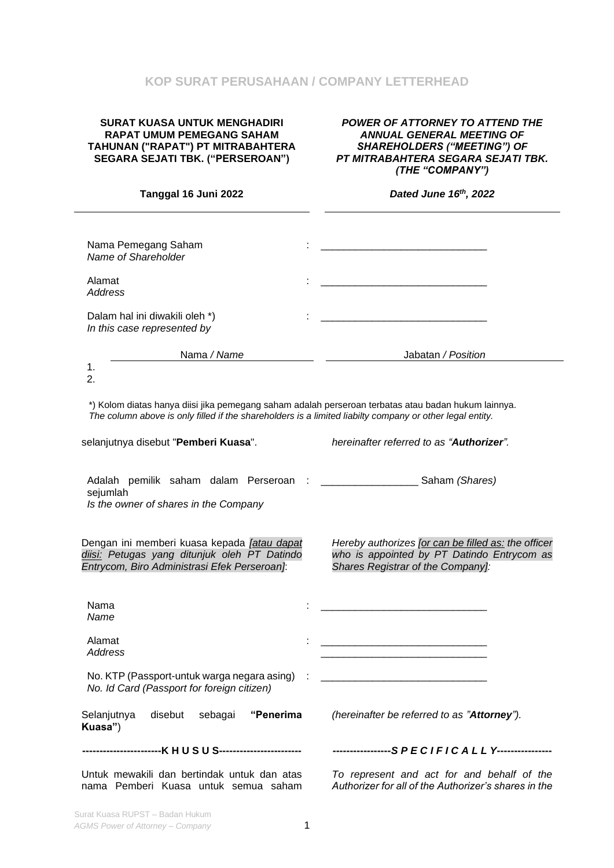## **KOP SURAT PERUSAHAAN / COMPANY LETTERHEAD**

### **SURAT KUASA UNTUK MENGHADIRI RAPAT UMUM PEMEGANG SAHAM TAHUNAN ("RAPAT") PT MITRABAHTERA SEGARA SEJATI TBK. ("PERSEROAN")**

#### *POWER OF ATTORNEY TO ATTEND THE ANNUAL GENERAL MEETING OF SHAREHOLDERS ("MEETING") OF PT MITRABAHTERA SEGARA SEJATI TBK. (THE "COMPANY")*

| Tanggal 16 Juni 2022                                                                                                                                                                                            | Dated June 16th, 2022                                                                                                                  |  |  |
|-----------------------------------------------------------------------------------------------------------------------------------------------------------------------------------------------------------------|----------------------------------------------------------------------------------------------------------------------------------------|--|--|
|                                                                                                                                                                                                                 |                                                                                                                                        |  |  |
| Nama Pemegang Saham<br>Name of Shareholder                                                                                                                                                                      |                                                                                                                                        |  |  |
| Alamat<br>Address                                                                                                                                                                                               |                                                                                                                                        |  |  |
| Dalam hal ini diwakili oleh *)<br>In this case represented by                                                                                                                                                   |                                                                                                                                        |  |  |
| Nama / Name                                                                                                                                                                                                     | Jabatan / Position                                                                                                                     |  |  |
| 1.<br>2.                                                                                                                                                                                                        |                                                                                                                                        |  |  |
| *) Kolom diatas hanya diisi jika pemegang saham adalah perseroan terbatas atau badan hukum lainnya.<br>The column above is only filled if the shareholders is a limited liabilty company or other legal entity. |                                                                                                                                        |  |  |
| selanjutnya disebut "Pemberi Kuasa".                                                                                                                                                                            | hereinafter referred to as "Authorizer".                                                                                               |  |  |
| Adalah pemilik saham dalam Perseroan :<br>sejumlah<br>Is the owner of shares in the Company                                                                                                                     | Saham (Shares)                                                                                                                         |  |  |
| Dengan ini memberi kuasa kepada <i>[atau dapat</i><br>diisi: Petugas yang ditunjuk oleh PT Datindo<br>Entrycom, Biro Administrasi Efek Perseroan]:                                                              | Hereby authorizes [or can be filled as: the officer<br>who is appointed by PT Datindo Entrycom as<br>Shares Registrar of the Company]: |  |  |
| Nama<br>Name                                                                                                                                                                                                    |                                                                                                                                        |  |  |
| Alamat<br>Address                                                                                                                                                                                               |                                                                                                                                        |  |  |
| No. KTP (Passport-untuk warga negara asing)<br>No. Id Card (Passport for foreign citizen)                                                                                                                       |                                                                                                                                        |  |  |
| "Penerima<br>Selanjutnya<br>disebut<br>sebagai<br>Kuasa")                                                                                                                                                       | (hereinafter be referred to as "Attorney").                                                                                            |  |  |
|                                                                                                                                                                                                                 | -----------------SPECIFICALLY----------------                                                                                          |  |  |
| Untuk mewakili dan bertindak untuk dan atas<br>nama Pemberi Kuasa untuk semua saham                                                                                                                             | To represent and act for and behalf of the<br>Authorizer for all of the Authorizer's shares in the                                     |  |  |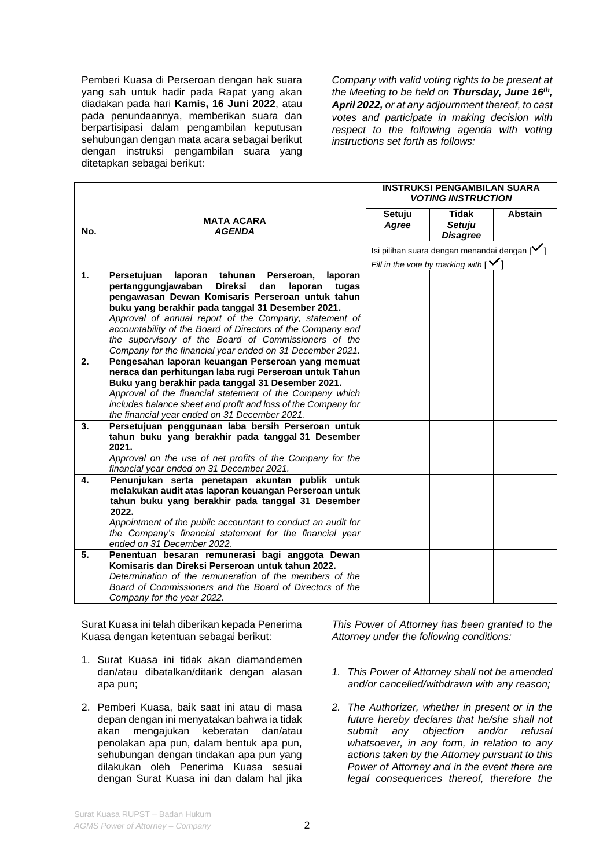Pemberi Kuasa di Perseroan dengan hak suara yang sah untuk hadir pada Rapat yang akan diadakan pada hari **Kamis, 16 Juni 2022**, atau pada penundaannya, memberikan suara dan berpartisipasi dalam pengambilan keputusan sehubungan dengan mata acara sebagai berikut dengan instruksi pengambilan suara yang ditetapkan sebagai berikut:

*Company with valid voting rights to be present at the Meeting to be held on Thursday, June 16th , April 2022, or at any adjournment thereof, to cast votes and participate in making decision with respect to the following agenda with voting instructions set forth as follows:*

|                |                                                                                                                     | <b>INSTRUKSI PENGAMBILAN SUARA</b><br><b>VOTING INSTRUCTION</b> |                                                         |         |
|----------------|---------------------------------------------------------------------------------------------------------------------|-----------------------------------------------------------------|---------------------------------------------------------|---------|
| No.            | <b>MATA ACARA</b><br><b>AGENDA</b>                                                                                  | Setuju<br>Agree                                                 | <b>Tidak</b><br><b>Setuju</b><br><b>Disagree</b>        | Abstain |
|                |                                                                                                                     |                                                                 | Isi pilihan suara dengan menandai dengan $[\checkmark]$ |         |
|                |                                                                                                                     |                                                                 | Fill in the vote by marking with $\lceil \cdot \rceil$  |         |
| $\mathbf{1}$ . | Persetujuan<br>laporan<br>tahunan<br>Perseroan,<br>laporan                                                          |                                                                 |                                                         |         |
|                | pertanggungjawaban<br><b>Direksi</b><br>dan<br>laporan<br>tugas<br>pengawasan Dewan Komisaris Perseroan untuk tahun |                                                                 |                                                         |         |
|                | buku yang berakhir pada tanggal 31 Desember 2021.                                                                   |                                                                 |                                                         |         |
|                | Approval of annual report of the Company, statement of                                                              |                                                                 |                                                         |         |
|                | accountability of the Board of Directors of the Company and                                                         |                                                                 |                                                         |         |
|                | the supervisory of the Board of Commissioners of the                                                                |                                                                 |                                                         |         |
|                | Company for the financial year ended on 31 December 2021.                                                           |                                                                 |                                                         |         |
| 2.             | Pengesahan laporan keuangan Perseroan yang memuat                                                                   |                                                                 |                                                         |         |
|                | neraca dan perhitungan laba rugi Perseroan untuk Tahun                                                              |                                                                 |                                                         |         |
|                | Buku yang berakhir pada tanggal 31 Desember 2021.<br>Approval of the financial statement of the Company which       |                                                                 |                                                         |         |
|                | includes balance sheet and profit and loss of the Company for                                                       |                                                                 |                                                         |         |
|                | the financial year ended on 31 December 2021.                                                                       |                                                                 |                                                         |         |
| 3.             | Persetujuan penggunaan laba bersih Perseroan untuk                                                                  |                                                                 |                                                         |         |
|                | tahun buku yang berakhir pada tanggal 31 Desember                                                                   |                                                                 |                                                         |         |
|                | 2021.                                                                                                               |                                                                 |                                                         |         |
|                | Approval on the use of net profits of the Company for the<br>financial year ended on 31 December 2021.              |                                                                 |                                                         |         |
| 4.             | Penunjukan serta penetapan akuntan publik untuk                                                                     |                                                                 |                                                         |         |
|                | melakukan audit atas laporan keuangan Perseroan untuk                                                               |                                                                 |                                                         |         |
|                | tahun buku yang berakhir pada tanggal 31 Desember                                                                   |                                                                 |                                                         |         |
|                | 2022.                                                                                                               |                                                                 |                                                         |         |
|                | Appointment of the public accountant to conduct an audit for                                                        |                                                                 |                                                         |         |
|                | the Company's financial statement for the financial year                                                            |                                                                 |                                                         |         |
| 5.             | ended on 31 December 2022.                                                                                          |                                                                 |                                                         |         |
|                | Penentuan besaran remunerasi bagi anggota Dewan<br>Komisaris dan Direksi Perseroan untuk tahun 2022.                |                                                                 |                                                         |         |
|                | Determination of the remuneration of the members of the                                                             |                                                                 |                                                         |         |
|                | Board of Commissioners and the Board of Directors of the                                                            |                                                                 |                                                         |         |
|                | Company for the year 2022.                                                                                          |                                                                 |                                                         |         |

Surat Kuasa ini telah diberikan kepada Penerima Kuasa dengan ketentuan sebagai berikut:

- 1. Surat Kuasa ini tidak akan diamandemen dan/atau dibatalkan/ditarik dengan alasan apa pun;
- 2. Pemberi Kuasa, baik saat ini atau di masa depan dengan ini menyatakan bahwa ia tidak akan mengajukan keberatan dan/atau penolakan apa pun, dalam bentuk apa pun, sehubungan dengan tindakan apa pun yang dilakukan oleh Penerima Kuasa sesuai dengan Surat Kuasa ini dan dalam hal jika

*This Power of Attorney has been granted to the Attorney under the following conditions:*

- *1. This Power of Attorney shall not be amended and/or cancelled/withdrawn with any reason;*
- *2. The Authorizer, whether in present or in the future hereby declares that he/she shall not submit any objection and/or refusal whatsoever, in any form, in relation to any actions taken by the Attorney pursuant to this Power of Attorney and in the event there are legal consequences thereof, therefore the*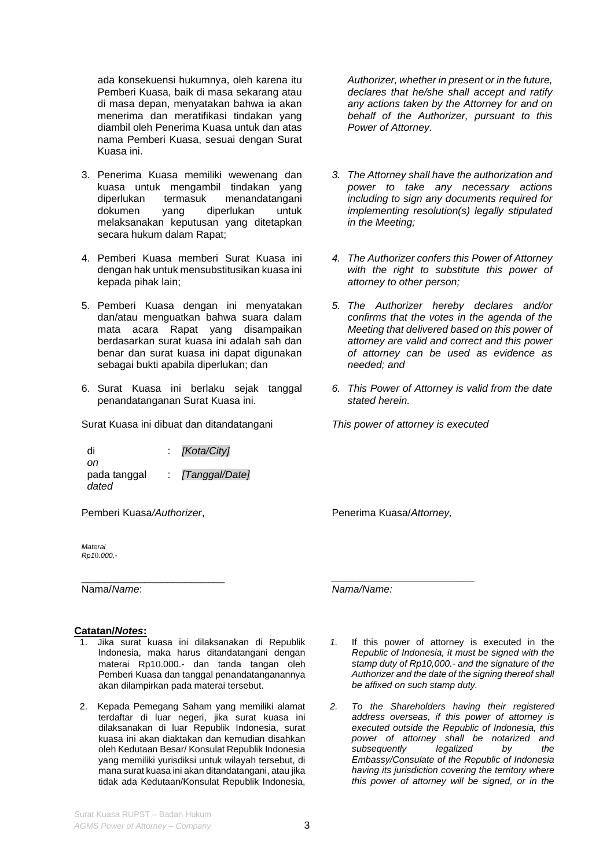ada konsekuensi hukumnya, oleh karena itu Pemberi Kuasa, baik di masa sekarang atau di masa depan, menyatakan bahwa ia akan menerima dan meratifikasi tindakan yang diambil oleh Penerima Kuasa untuk dan atas nama Pemberi Kuasa, sesuai dengan Surat Kuasa ini.

- 3. Penerima Kuasa memiliki wewenang dan kuasa untuk mengambil tindakan yang<br>diperlukan termasuk menandatangani diperlukan termasuk menandatangani dokumen yang diperlukan untuk melaksanakan keputusan yang ditetapkan secara hukum dalam Rapat;
- 4. Pemberi Kuasa memberi Surat Kuasa ini dengan hak untuk mensubstitusikan kuasa ini kepada pihak lain;
- 5. Pemberi Kuasa dengan ini menyatakan dan/atau menguatkan bahwa suara dalam mata acara Rapat yang disampaikan berdasarkan surat kuasa ini adalah sah dan benar dan surat kuasa ini dapat digunakan sebagai bukti apabila diperlukan; dan
- 6. Surat Kuasa ini berlaku sejak tanggal penandatanganan Surat Kuasa ini.

Surat Kuasa ini dibuat dan ditandatangani *This power of attorney is executed* 

di *on* : *[Kota/City]* pada tanggal *dated* : *[Tanggal/Date]*

Pemberi Kuasa*/Authorizer*,

\_\_\_\_\_\_\_\_\_\_\_\_\_\_\_\_\_\_\_\_\_\_\_\_\_

*Materai Rp1*0*.000,-*

Nama/*Name*:

### **Catatan/***Notes***:**

- 1. Jika surat kuasa ini dilaksanakan di Republik Indonesia, maka harus ditandatangani dengan materai Rp10.000.- dan tanda tangan oleh Pemberi Kuasa dan tanggal penandatanganannya akan dilampirkan pada materai tersebut.
- 2. Kepada Pemegang Saham yang memiliki alamat terdaftar di luar negeri, jika surat kuasa ini dilaksanakan di luar Republik Indonesia, surat kuasa ini akan diaktakan dan kemudian disahkan oleh Kedutaan Besar/ Konsulat Republik Indonesia yang memiliki yurisdiksi untuk wilayah tersebut, di mana surat kuasa ini akan ditandatangani, atau jika tidak ada Kedutaan/Konsulat Republik Indonesia,

*Authorizer, whether in present or in the future, declares that he/she shall accept and ratify any actions taken by the Attorney for and on behalf of the Authorizer, pursuant to this Power of Attorney.*

- *3. The Attorney shall have the authorization and power to take any necessary actions including to sign any documents required for implementing resolution(s) legally stipulated in the Meeting;*
- *4. The Authorizer confers this Power of Attorney with the right to substitute this power of attorney to other person;*
- *5. The Authorizer hereby declares and/or confirms that the votes in the agenda of the Meeting that delivered based on this power of attorney are valid and correct and this power of attorney can be used as evidence as needed; and*
- *6. This Power of Attorney is valid from the date stated herein.*

Penerima Kuasa/*Attorney,*

*\_\_\_\_\_\_\_\_\_\_\_\_\_\_\_\_\_\_\_\_\_\_\_\_\_*

*Nama/Name:*

- *1.* If this power of attorney is executed in the *Republic of Indonesia, it must be signed with the stamp duty of Rp10,000.- and the signature of the Authorizer and the date of the signing thereof shall be affixed on such stamp duty.*
- *2. To the Shareholders having their registered address overseas, if this power of attorney is executed outside the Republic of Indonesia, this power of attorney shall be notarized and subsequently legalized by the Embassy/Consulate of the Republic of Indonesia having its jurisdiction covering the territory where this power of attorney will be signed, or in the*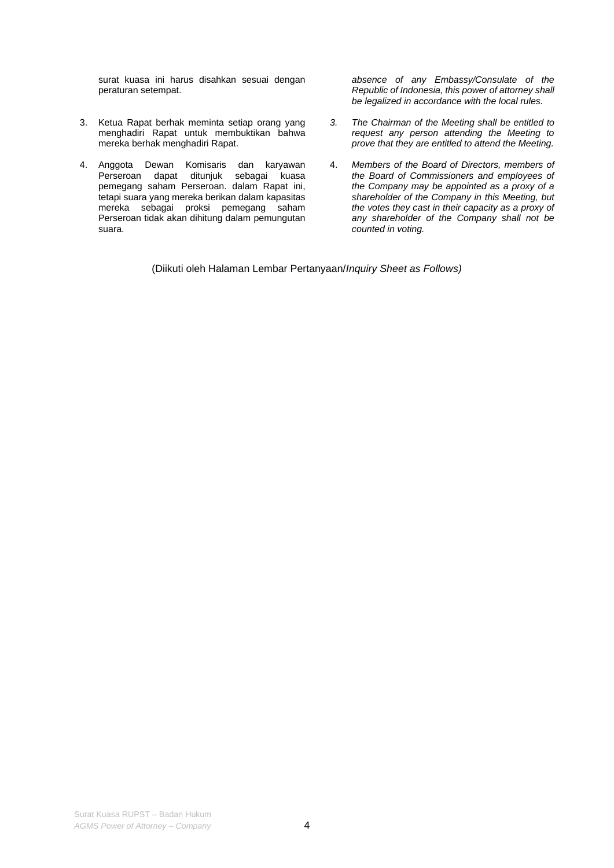surat kuasa ini harus disahkan sesuai dengan peraturan setempat.

- 3. Ketua Rapat berhak meminta setiap orang yang menghadiri Rapat untuk membuktikan bahwa mereka berhak menghadiri Rapat.
- 4. Anggota Dewan Komisaris dan karyawan Perseroan dapat ditunjuk sebagai kuasa pemegang saham Perseroan. dalam Rapat ini, tetapi suara yang mereka berikan dalam kapasitas mereka sebagai proksi pemegang saham Perseroan tidak akan dihitung dalam pemungutan suara.

*absence of any Embassy/Consulate of the Republic of Indonesia, this power of attorney shall be legalized in accordance with the local rules.* 

- *3. The Chairman of the Meeting shall be entitled to request any person attending the Meeting to prove that they are entitled to attend the Meeting.*
- 4. *Members of the Board of Directors, members of the Board of Commissioners and employees of the Company may be appointed as a proxy of a shareholder of the Company in this Meeting, but the votes they cast in their capacity as a proxy of any shareholder of the Company shall not be counted in voting.*

(Diikuti oleh Halaman Lembar Pertanyaan/*Inquiry Sheet as Follows)*